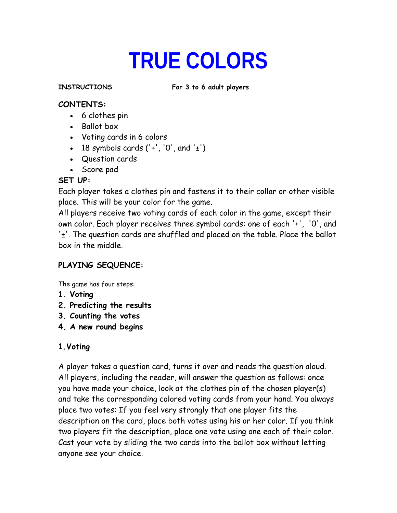# **TRUE COLORS**

**INSTRUCTIONS For 3 to 6 adult players**

#### **CONTENTS:**

- 6 clothes pin
- Ballot box
- Voting cards in 6 colors
- 18 symbols cards  $('+','0', and '±')$
- Question cards
- Score pad

# **SET UP:**

Each player takes a clothes pin and fastens it to their collar or other visible place. This will be your color for the game.

All players receive two voting cards of each color in the game, except their own color. Each player receives three symbol cards: one of each '+', '0', and '±'. The question cards are shuffled and placed on the table. Place the ballot box in the middle.

# **PLAYING SEQUENCE:**

The game has four steps:

- **1. Voting**
- **2. Predicting the results**
- **3. Counting the votes**
- **4. A new round begins**

# **1.Voting**

A player takes a question card, turns it over and reads the question aloud. All players, including the reader, will answer the question as follows: once you have made your choice, look at the clothes pin of the chosen player(s) and take the corresponding colored voting cards from your hand. You always place two votes: If you feel very strongly that one player fits the description on the card, place both votes using his or her color. If you think two players fit the description, place one vote using one each of their color. Cast your vote by sliding the two cards into the ballot box without letting anyone see your choice.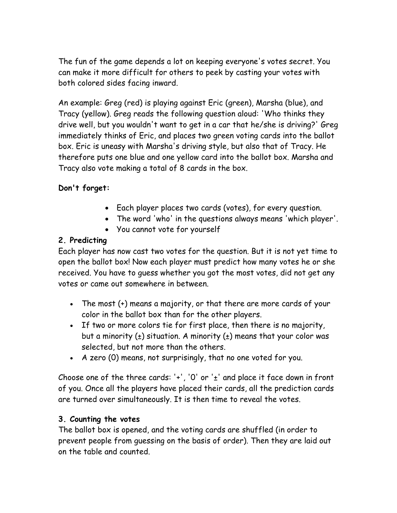The fun of the game depends a lot on keeping everyone's votes secret. You can make it more difficult for others to peek by casting your votes with both colored sides facing inward.

An example: Greg (red) is playing against Eric (green), Marsha (blue), and Tracy (yellow). Greg reads the following question aloud: 'Who thinks they drive well, but you wouldn't want to get in a car that he/she is driving?' Greg immediately thinks of Eric, and places two green voting cards into the ballot box. Eric is uneasy with Marsha's driving style, but also that of Tracy. He therefore puts one blue and one yellow card into the ballot box. Marsha and Tracy also vote making a total of 8 cards in the box.

# **Don't forget:**

- Each player places two cards (votes), for every question.
- The word 'who' in the questions always means 'which player'.
- You cannot vote for yourself

#### **2. Predicting**

Each player has now cast two votes for the question. But it is not yet time to open the ballot box! Now each player must predict how many votes he or she received. You have to guess whether you got the most votes, did not get any votes or came out somewhere in between.

- The most (+) means a majority, or that there are more cards of your color in the ballot box than for the other players.
- If two or more colors tie for first place, then there is no majority, but a minority  $(\pm)$  situation. A minority  $(\pm)$  means that your color was selected, but not more than the others.
- A zero (0) means, not surprisingly, that no one voted for you.

Choose one of the three cards: '+', '0' or ' $\pm$ ' and place it face down in front of you. Once all the players have placed their cards, all the prediction cards are turned over simultaneously. It is then time to reveal the votes.

#### **3. Counting the votes**

The ballot box is opened, and the voting cards are shuffled (in order to prevent people from guessing on the basis of order). Then they are laid out on the table and counted.